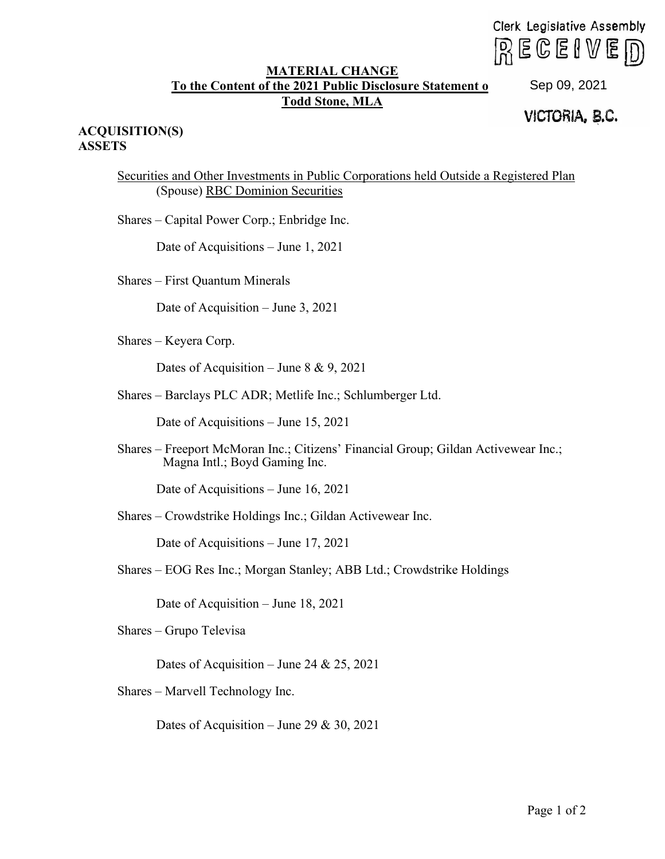Clerk Legislative Assembly  $R \in \mathbb{C}$ eive $D$ 

## **MATERIAL CHANGE To the Content of the 2021 Public Disclosure Statement of Todd Stone, MLA**

## VICTORIA, **e.c.** Sep 09, 2021

## **ACQUISITION(S) ASSETS**

Securities and Other Investments in Public Corporations held Outside a Registered Plan (Spouse) RBC Dominion Securities

Shares – Capital Power Corp.; Enbridge Inc.

Date of Acquisitions – June 1, 2021

Shares – First Quantum Minerals

Date of Acquisition – June 3, 2021

Shares – Keyera Corp.

Dates of Acquisition – June  $8 \& 9, 2021$ 

Shares – Barclays PLC ADR; Metlife Inc.; Schlumberger Ltd.

Date of Acquisitions – June 15, 2021

Shares – Freeport McMoran Inc.; Citizens' Financial Group; Gildan Activewear Inc.; Magna Intl.; Boyd Gaming Inc.

Date of Acquisitions – June 16, 2021

Shares – Crowdstrike Holdings Inc.; Gildan Activewear Inc.

Date of Acquisitions – June 17, 2021

Shares – EOG Res Inc.; Morgan Stanley; ABB Ltd.; Crowdstrike Holdings

Date of Acquisition – June 18, 2021

Shares – Grupo Televisa

Dates of Acquisition – June 24 & 25, 2021

Shares – Marvell Technology Inc.

Dates of Acquisition – June 29 & 30, 2021